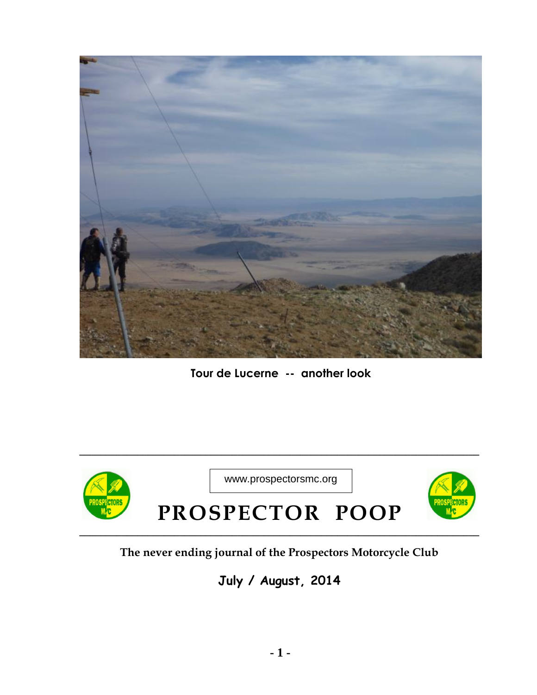

**Tour de Lucerne -- another look**



**\_\_\_\_\_\_\_\_\_\_\_\_\_\_\_\_\_\_\_\_\_\_\_\_\_\_\_\_\_\_\_\_\_\_\_\_\_\_\_\_\_\_\_\_\_\_\_\_\_\_\_\_\_\_\_\_\_\_\_\_\_\_\_\_\_\_\_\_\_\_\_\_\_\_\_\_**

## **The never ending journal of the Prospectors Motorcycle Club**

## **July / August, 2014**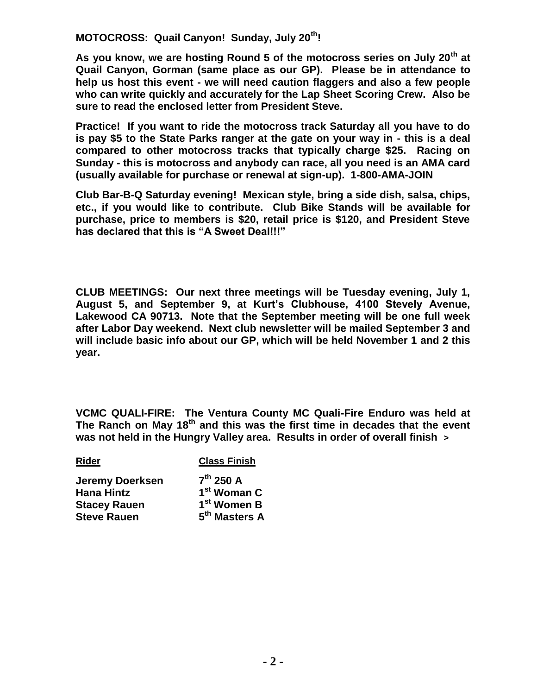**MOTOCROSS: Quail Canyon! Sunday, July 20th!** 

**As you know, we are hosting Round 5 of the motocross series on July 20th at Quail Canyon, Gorman (same place as our GP). Please be in attendance to help us host this event - we will need caution flaggers and also a few people who can write quickly and accurately for the Lap Sheet Scoring Crew. Also be sure to read the enclosed letter from President Steve.** 

**Practice! If you want to ride the motocross track Saturday all you have to do is pay \$5 to the State Parks ranger at the gate on your way in - this is a deal compared to other motocross tracks that typically charge \$25. Racing on Sunday - this is motocross and anybody can race, all you need is an AMA card (usually available for purchase or renewal at sign-up). 1-800-AMA-JOIN** 

**Club Bar-B-Q Saturday evening! Mexican style, bring a side dish, salsa, chips, etc., if you would like to contribute. Club Bike Stands will be available for purchase, price to members is \$20, retail price is \$120, and President Steve has declared that this is "A Sweet Deal!!!"** 

**CLUB MEETINGS: Our next three meetings will be Tuesday evening, July 1, August 5, and September 9, at Kurt's Clubhouse, 4100 Stevely Avenue, Lakewood CA 90713. Note that the September meeting will be one full week after Labor Day weekend. Next club newsletter will be mailed September 3 and will include basic info about our GP, which will be held November 1 and 2 this year.** 

**VCMC QUALI-FIRE: The Ventura County MC Quali-Fire Enduro was held at The Ranch on May 18th and this was the first time in decades that the event was not held in the Hungry Valley area. Results in order of overall finish >**

**Rider Class Finish**

| <b>Jeremy Doerksen</b> | $7^{th}$ 250 A            |
|------------------------|---------------------------|
| <b>Hana Hintz</b>      | 1 <sup>st</sup> Woman C   |
| <b>Stacey Rauen</b>    | 1 <sup>st</sup> Women B   |
| <b>Steve Rauen</b>     | 5 <sup>th</sup> Masters A |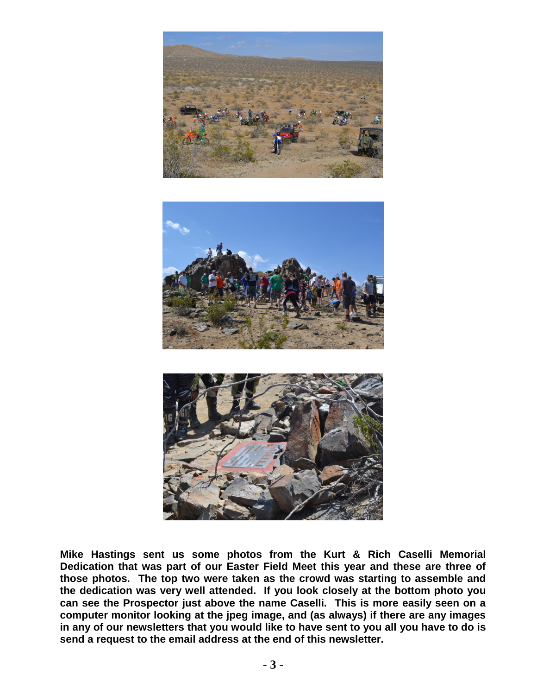





**Mike Hastings sent us some photos from the Kurt & Rich Caselli Memorial Dedication that was part of our Easter Field Meet this year and these are three of those photos. The top two were taken as the crowd was starting to assemble and the dedication was very well attended. If you look closely at the bottom photo you can see the Prospector just above the name Caselli. This is more easily seen on a computer monitor looking at the jpeg image, and (as always) if there are any images in any of our newsletters that you would like to have sent to you all you have to do is send a request to the email address at the end of this newsletter.**